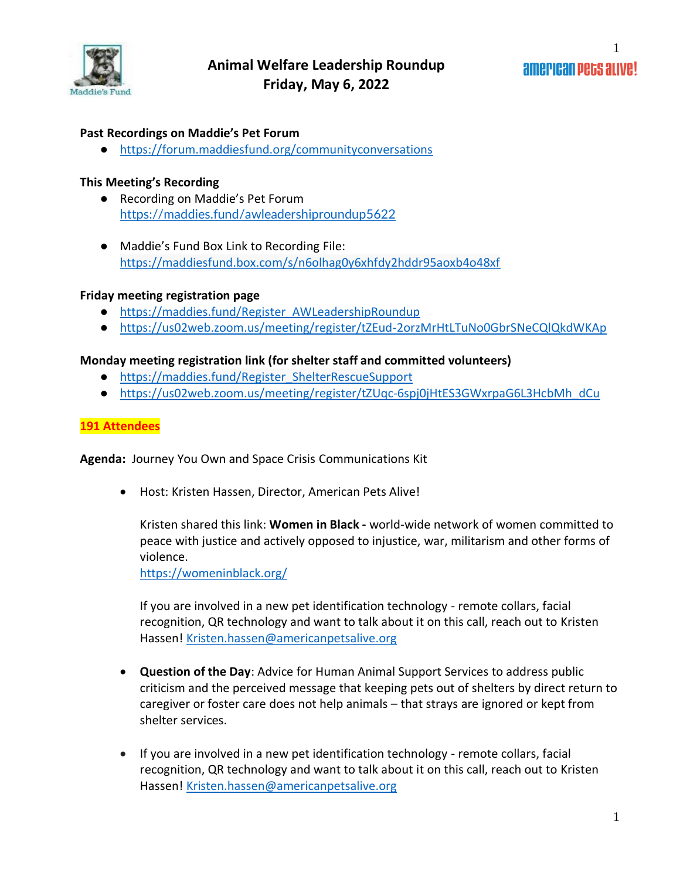

1

#### **Past Recordings on Maddie's Pet Forum**

● <https://forum.maddiesfund.org/communityconversations>

#### **This Meeting's Recording**

- Recording on Maddie's Pet Forum <https://maddies.fund/awleadershiproundup5622>
- Maddie's Fund Box Link to Recording File: <https://maddiesfund.box.com/s/n6olhag0y6xhfdy2hddr95aoxb4o48xf>

#### **Friday meeting registration page**

- [https://maddies.fund/Register\\_AWLeadershipRoundup](https://maddies.fund/Register_AWLeadershipRoundup)
- <https://us02web.zoom.us/meeting/register/tZEud-2orzMrHtLTuNo0GbrSNeCQlQkdWKAp>

#### **Monday meeting registration link (for shelter staff and committed volunteers)**

- [https://maddies.fund/Register\\_ShelterRescueSupport](https://maddies.fund/Register_ShelterRescueSupport)
- [https://us02web.zoom.us/meeting/register/tZUqc-6spj0jHtES3GWxrpaG6L3HcbMh\\_dCu](https://us02web.zoom.us/meeting/register/tZUqc-6spj0jHtES3GWxrpaG6L3HcbMh_dCu)

#### **191 Attendees**

**Agenda:** Journey You Own and Space Crisis Communications Kit

• Host: Kristen Hassen, Director, American Pets Alive!

Kristen shared this link: **Women in Black -** world-wide network of women committed to peace with justice and actively opposed to injustice, war, militarism and other forms of violence.

<https://womeninblack.org/>

If you are involved in a new pet identification technology - remote collars, facial recognition, QR technology and want to talk about it on this call, reach out to Kristen Hassen! [Kristen.hassen@americanpetsalive.org](mailto:Kristen.hassen@americanpetsalive.org)

- **Question of the Day**: Advice for Human Animal Support Services to address public criticism and the perceived message that keeping pets out of shelters by direct return to caregiver or foster care does not help animals – that strays are ignored or kept from shelter services.
- If you are involved in a new pet identification technology remote collars, facial recognition, QR technology and want to talk about it on this call, reach out to Kristen Hassen! [Kristen.hassen@americanpetsalive.org](mailto:Kristen.hassen@americanpetsalive.org)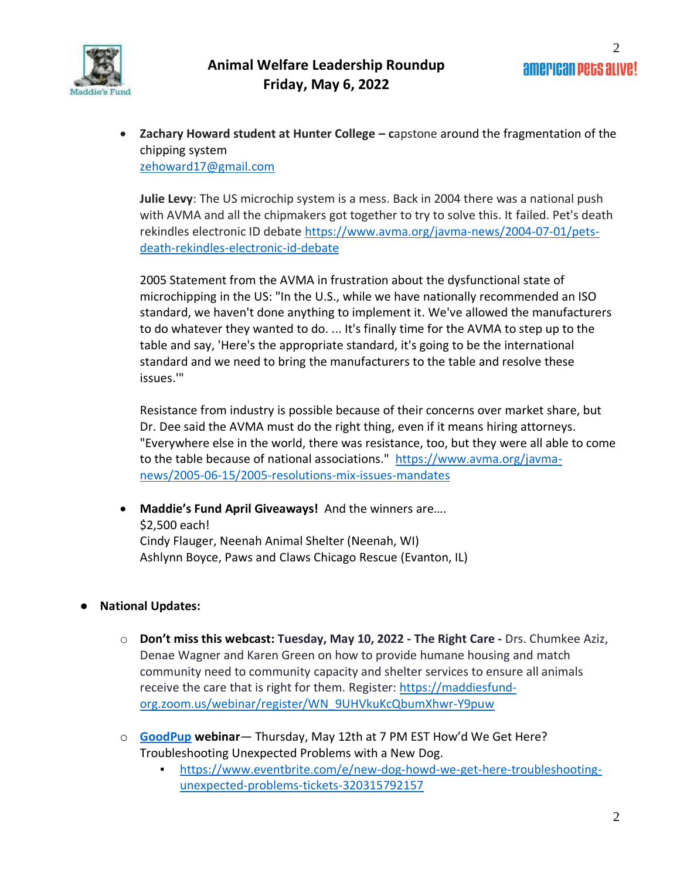

• **Zachary Howard student at Hunter College – c**apstone around the fragmentation of the chipping system [zehoward17@gmail.com](mailto:zehoward17@gmail.com)

**Julie Levy**: The US microchip system is a mess. Back in 2004 there was a national push with AVMA and all the chipmakers got together to try to solve this. It failed. Pet's death rekindles electronic ID debate [https://www.avma.org/javma-news/2004-07-01/pets](https://www.avma.org/javma-news/2004-07-01/pets-death-rekindles-electronic-id-debate)[death-rekindles-electronic-id-debate](https://www.avma.org/javma-news/2004-07-01/pets-death-rekindles-electronic-id-debate)

2005 Statement from the AVMA in frustration about the dysfunctional state of microchipping in the US: "In the U.S., while we have nationally recommended an ISO standard, we haven't done anything to implement it. We've allowed the manufacturers to do whatever they wanted to do. ... It's finally time for the AVMA to step up to the table and say, 'Here's the appropriate standard, it's going to be the international standard and we need to bring the manufacturers to the table and resolve these issues.'"

Resistance from industry is possible because of their concerns over market share, but Dr. Dee said the AVMA must do the right thing, even if it means hiring attorneys. "Everywhere else in the world, there was resistance, too, but they were all able to come to the table because of national associations." [https://www.avma.org/javma](https://www.avma.org/javma-news/2005-06-15/2005-resolutions-mix-issues-mandates)[news/2005-06-15/2005-resolutions-mix-issues-mandates](https://www.avma.org/javma-news/2005-06-15/2005-resolutions-mix-issues-mandates)

- **Maddie's Fund April Giveaways!** And the winners are…. \$2,500 each! Cindy Flauger, Neenah Animal Shelter (Neenah, WI) Ashlynn Boyce, Paws and Claws Chicago Rescue (Evanton, IL)
- **National Updates:** 
	- o **Don't miss this webcast: Tuesday, May 10, 2022 - The Right Care -** Drs. Chumkee Aziz, Denae Wagner and Karen Green on how to provide humane housing and match community need to community capacity and shelter services to ensure all animals receive the care that is right for them. Register[: https://maddiesfund](https://maddiesfund-org.zoom.us/webinar/register/WN_9UHVkuKcQbumXhwr-Y9puw)[org.zoom.us/webinar/register/WN\\_9UHVkuKcQbumXhwr-Y9puw](https://maddiesfund-org.zoom.us/webinar/register/WN_9UHVkuKcQbumXhwr-Y9puw)
	- o **[GoodPup](https://goodpup.com/shelters) webinar** Thursday, May 12th at 7 PM EST How'd We Get Here? Troubleshooting Unexpected Problems with a New Dog.
		- [https://www.eventbrite.com/e/new-dog-howd-we-get-here-troubleshooting](https://www.eventbrite.com/e/new-dog-howd-we-get-here-troubleshooting-unexpected-problems-tickets-320315792157)[unexpected-problems-tickets-320315792157](https://www.eventbrite.com/e/new-dog-howd-we-get-here-troubleshooting-unexpected-problems-tickets-320315792157)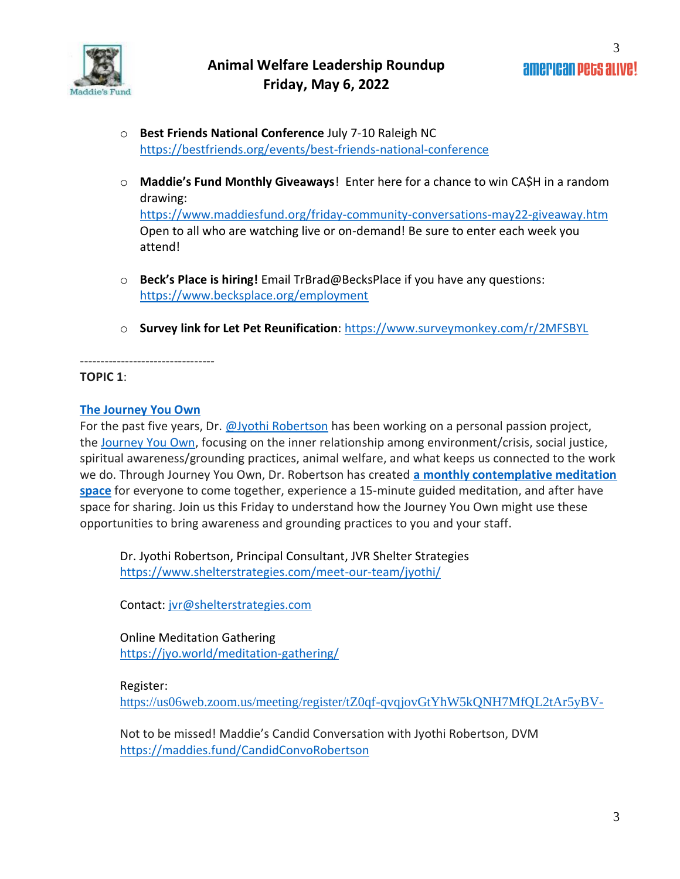

- o **Best Friends National Conference** July 7-10 Raleigh NC <https://bestfriends.org/events/best-friends-national-conference>
- o **Maddie's Fund Monthly Giveaways**! Enter here for a chance to win CA\$H in a random drawing: <https://www.maddiesfund.org/friday-community-conversations-may22-giveaway.htm>

Open to all who are watching live or on-demand! Be sure to enter each week you attend!

- o **Beck's Place is hiring!** Email TrBrad@BecksPlace if you have any questions: <https://www.becksplace.org/employment>
- o **Survey link for Let Pet Reunification**:<https://www.surveymonkey.com/r/2MFSBYL>

**TOPIC 1**:

### **[The Journey You Own](https://jyo.world/awareness/)**

---------------------------------

For the past five years, Dr. [@Jyothi Robertson](https://forum.maddiesfund.org/browse/members/profile?UserKey=50586b95-e4f7-43db-ba43-6d019a2f51fc) has been working on a personal passion project, the [Journey You Own,](https://jyo.world/) focusing on the inner relationship among environment/crisis, social justice, spiritual awareness/grounding practices, animal welfare, and what keeps us connected to the work we do. Through Journey You Own, Dr. Robertson has created **[a monthly contemplative meditation](https://jyo.world/meditation-gathering/)  [space](https://jyo.world/meditation-gathering/)** for everyone to come together, experience a 15-minute guided meditation, and after have space for sharing. Join us this Friday to understand how the Journey You Own might use these opportunities to bring awareness and grounding practices to you and your staff.

Dr. Jyothi Robertson, Principal Consultant, JVR Shelter Strategies <https://www.shelterstrategies.com/meet-our-team/jyothi/>

Contact: [jvr@shelterstrategies.com](mailto:jvr@shelterstrategies.com)

Online Meditation Gathering <https://jyo.world/meditation-gathering/>

### Register:

<https://us06web.zoom.us/meeting/register/tZ0qf-qvqjovGtYhW5kQNH7MfQL2tAr5yBV->

Not to be missed! Maddie's Candid Conversation with Jyothi Robertson, DVM <https://maddies.fund/CandidConvoRobertson>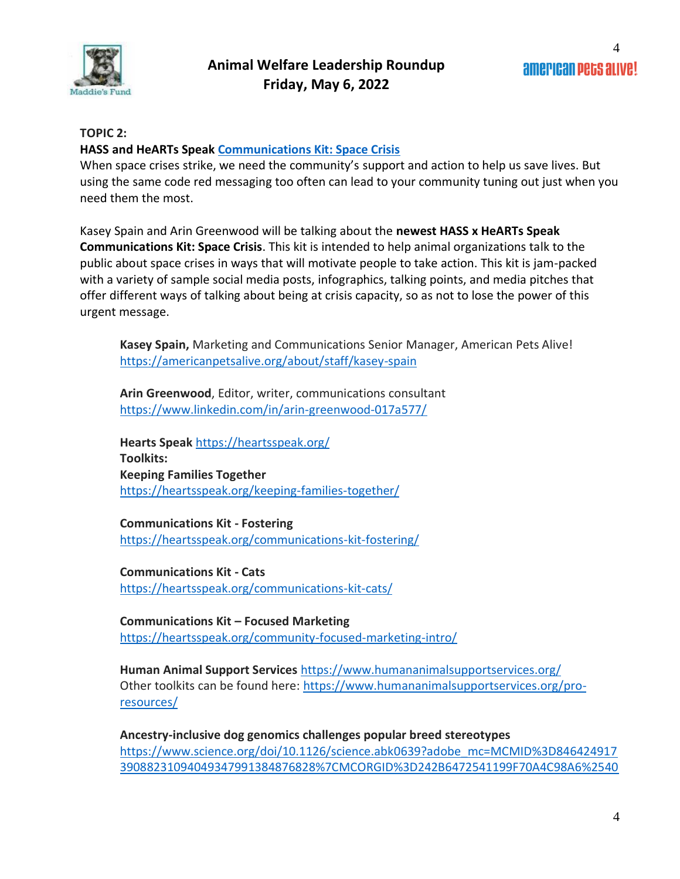

#### **TOPIC 2:**

#### **HASS and HeARTs Speak [Communications Kit: Space Crisis](https://heartsspeak.org/communications-kit-space-crisis/)**

When space crises strike, we need the community's support and action to help us save lives. But using the same code red messaging too often can lead to your community tuning out just when you need them the most.

Kasey Spain and Arin Greenwood will be talking about the **newest HASS x HeARTs Speak Communications Kit: Space Crisis**. This kit is intended to help animal organizations talk to the public about space crises in ways that will motivate people to take action. This kit is jam-packed with a variety of sample social media posts, infographics, talking points, and media pitches that offer different ways of talking about being at crisis capacity, so as not to lose the power of this urgent message.

**Kasey Spain,** Marketing and Communications Senior Manager, American Pets Alive! <https://americanpetsalive.org/about/staff/kasey-spain>

**Arin Greenwood**, Editor, writer, communications consultant <https://www.linkedin.com/in/arin-greenwood-017a577/>

**Hearts Speak** <https://heartsspeak.org/> **Toolkits: Keeping Families Together** <https://heartsspeak.org/keeping-families-together/>

**Communications Kit - Fostering** <https://heartsspeak.org/communications-kit-fostering/>

**Communications Kit - Cats** <https://heartsspeak.org/communications-kit-cats/>

**Communications Kit – Focused Marketing** <https://heartsspeak.org/community-focused-marketing-intro/>

**Human Animal Support Services** <https://www.humananimalsupportservices.org/> Other toolkits can be found here: [https://www.humananimalsupportservices.org/pro](https://www.humananimalsupportservices.org/pro-resources/)[resources/](https://www.humananimalsupportservices.org/pro-resources/)

**Ancestry-inclusive dog genomics challenges popular breed stereotypes** [https://www.science.org/doi/10.1126/science.abk0639?adobe\\_mc=MCMID%3D846424917](https://www.science.org/doi/10.1126/science.abk0639?adobe_mc=MCMID%3D84642491739088231094049347991384876828%7CMCORGID%3D242B6472541199F70A4C98A6%2540AdobeOrg%7CTS%3D1651162390&_ga=2.218466969.1066386900.1651162373-689641651.1609118629) [39088231094049347991384876828%7CMCORGID%3D242B6472541199F70A4C98A6%2540](https://www.science.org/doi/10.1126/science.abk0639?adobe_mc=MCMID%3D84642491739088231094049347991384876828%7CMCORGID%3D242B6472541199F70A4C98A6%2540AdobeOrg%7CTS%3D1651162390&_ga=2.218466969.1066386900.1651162373-689641651.1609118629)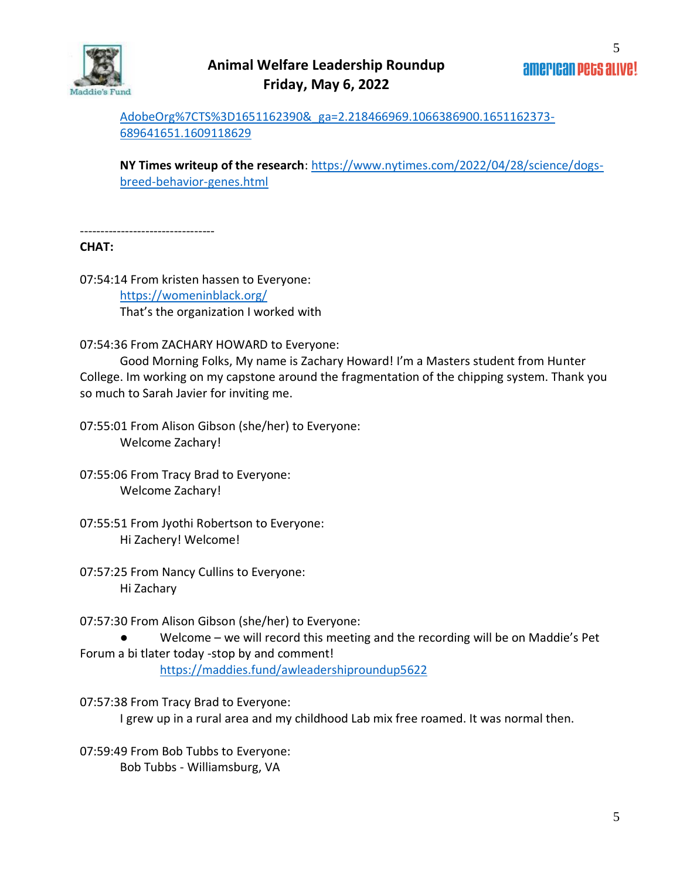

[AdobeOrg%7CTS%3D1651162390&\\_ga=2.218466969.1066386900.1651162373-](https://www.science.org/doi/10.1126/science.abk0639?adobe_mc=MCMID%3D84642491739088231094049347991384876828%7CMCORGID%3D242B6472541199F70A4C98A6%2540AdobeOrg%7CTS%3D1651162390&_ga=2.218466969.1066386900.1651162373-689641651.1609118629) [689641651.1609118629](https://www.science.org/doi/10.1126/science.abk0639?adobe_mc=MCMID%3D84642491739088231094049347991384876828%7CMCORGID%3D242B6472541199F70A4C98A6%2540AdobeOrg%7CTS%3D1651162390&_ga=2.218466969.1066386900.1651162373-689641651.1609118629)

**NY Times writeup of the research**: [https://www.nytimes.com/2022/04/28/science/dogs](https://www.nytimes.com/2022/04/28/science/dogs-breed-behavior-genes.html)[breed-behavior-genes.html](https://www.nytimes.com/2022/04/28/science/dogs-breed-behavior-genes.html)

---------------------------------

#### **CHAT:**

07:54:14 From kristen hassen to Everyone: <https://womeninblack.org/> That's the organization I worked with

07:54:36 From ZACHARY HOWARD to Everyone:

Good Morning Folks, My name is Zachary Howard! I'm a Masters student from Hunter College. Im working on my capstone around the fragmentation of the chipping system. Thank you so much to Sarah Javier for inviting me.

07:55:01 From Alison Gibson (she/her) to Everyone: Welcome Zachary!

07:55:06 From Tracy Brad to Everyone: Welcome Zachary!

- 07:55:51 From Jyothi Robertson to Everyone: Hi Zachery! Welcome!
- 07:57:25 From Nancy Cullins to Everyone: Hi Zachary

07:57:30 From Alison Gibson (she/her) to Everyone:

● Welcome – we will record this meeting and the recording will be on Maddie's Pet Forum a bi tlater today -stop by and comment!

<https://maddies.fund/awleadershiproundup5622>

07:57:38 From Tracy Brad to Everyone: I grew up in a rural area and my childhood Lab mix free roamed. It was normal then.

07:59:49 From Bob Tubbs to Everyone: Bob Tubbs - Williamsburg, VA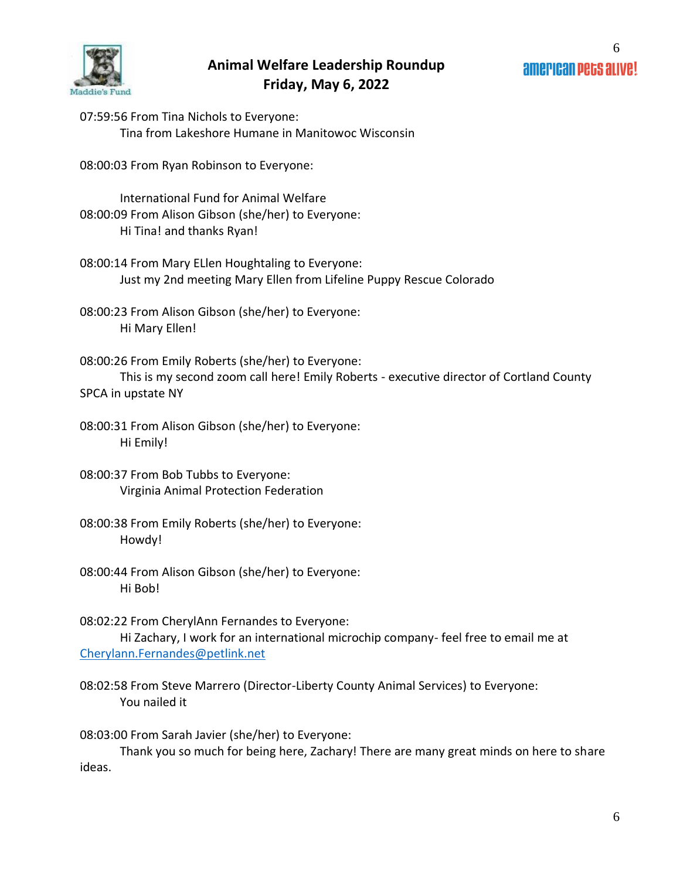

07:59:56 From Tina Nichols to Everyone: Tina from Lakeshore Humane in Manitowoc Wisconsin

08:00:03 From Ryan Robinson to Everyone:

International Fund for Animal Welfare 08:00:09 From Alison Gibson (she/her) to Everyone: Hi Tina! and thanks Ryan!

08:00:14 From Mary ELlen Houghtaling to Everyone: Just my 2nd meeting Mary Ellen from Lifeline Puppy Rescue Colorado

08:00:23 From Alison Gibson (she/her) to Everyone: Hi Mary Ellen!

08:00:26 From Emily Roberts (she/her) to Everyone: This is my second zoom call here! Emily Roberts - executive director of Cortland County SPCA in upstate NY

08:00:31 From Alison Gibson (she/her) to Everyone: Hi Emily!

08:00:37 From Bob Tubbs to Everyone: Virginia Animal Protection Federation

- 08:00:38 From Emily Roberts (she/her) to Everyone: Howdy!
- 08:00:44 From Alison Gibson (she/her) to Everyone: Hi Bob!

08:02:22 From CherylAnn Fernandes to Everyone: Hi Zachary, I work for an international microchip company- feel free to email me at [Cherylann.Fernandes@petlink.net](mailto:Cherylann.Fernandes@petlink.net)

08:02:58 From Steve Marrero (Director-Liberty County Animal Services) to Everyone: You nailed it

08:03:00 From Sarah Javier (she/her) to Everyone:

Thank you so much for being here, Zachary! There are many great minds on here to share ideas.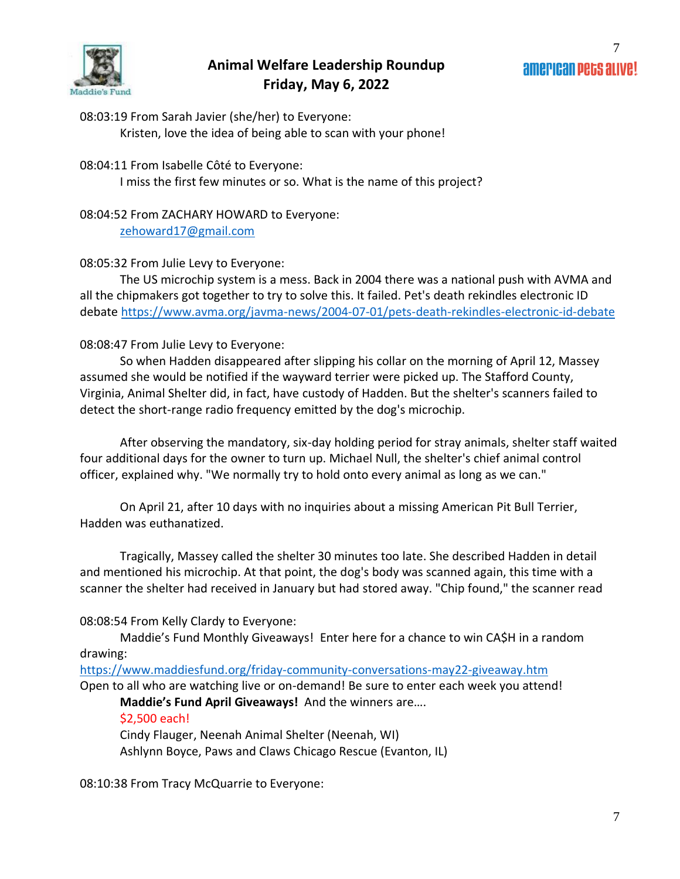

08:03:19 From Sarah Javier (she/her) to Everyone: Kristen, love the idea of being able to scan with your phone!

#### 08:04:11 From Isabelle Côté to Everyone:

I miss the first few minutes or so. What is the name of this project?

08:04:52 From ZACHARY HOWARD to Everyone: [zehoward17@gmail.com](mailto:zehoward17@gmail.com)

#### 08:05:32 From Julie Levy to Everyone:

The US microchip system is a mess. Back in 2004 there was a national push with AVMA and all the chipmakers got together to try to solve this. It failed. Pet's death rekindles electronic ID debate<https://www.avma.org/javma-news/2004-07-01/pets-death-rekindles-electronic-id-debate>

#### 08:08:47 From Julie Levy to Everyone:

So when Hadden disappeared after slipping his collar on the morning of April 12, Massey assumed she would be notified if the wayward terrier were picked up. The Stafford County, Virginia, Animal Shelter did, in fact, have custody of Hadden. But the shelter's scanners failed to detect the short-range radio frequency emitted by the dog's microchip.

After observing the mandatory, six-day holding period for stray animals, shelter staff waited four additional days for the owner to turn up. Michael Null, the shelter's chief animal control officer, explained why. "We normally try to hold onto every animal as long as we can."

On April 21, after 10 days with no inquiries about a missing American Pit Bull Terrier, Hadden was euthanatized.

Tragically, Massey called the shelter 30 minutes too late. She described Hadden in detail and mentioned his microchip. At that point, the dog's body was scanned again, this time with a scanner the shelter had received in January but had stored away. "Chip found," the scanner read

08:08:54 From Kelly Clardy to Everyone:

Maddie's Fund Monthly Giveaways! Enter here for a chance to win CA\$H in a random drawing:

<https://www.maddiesfund.org/friday-community-conversations-may22-giveaway.htm> Open to all who are watching live or on-demand! Be sure to enter each week you attend!

**Maddie's Fund April Giveaways!** And the winners are….

\$2,500 each!

Cindy Flauger, Neenah Animal Shelter (Neenah, WI) Ashlynn Boyce, Paws and Claws Chicago Rescue (Evanton, IL)

08:10:38 From Tracy McQuarrie to Everyone: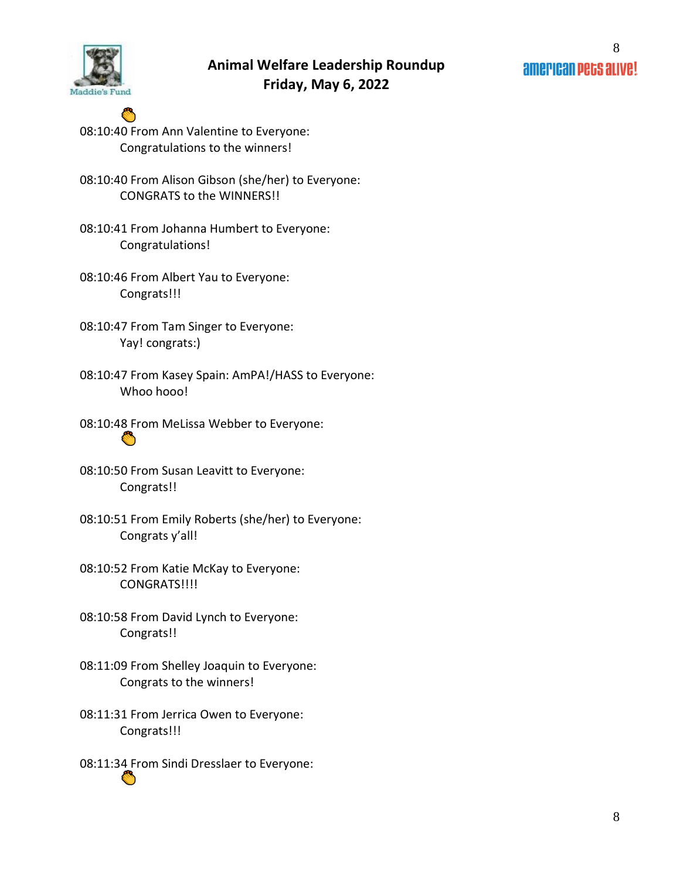

- O 08:10:40 From Ann Valentine to Everyone: Congratulations to the winners!
- 08:10:40 From Alison Gibson (she/her) to Everyone: CONGRATS to the WINNERS!!
- 08:10:41 From Johanna Humbert to Everyone: Congratulations!
- 08:10:46 From Albert Yau to Everyone: Congrats!!!
- 08:10:47 From Tam Singer to Everyone: Yay! congrats:)
- 08:10:47 From Kasey Spain: AmPA!/HASS to Everyone: Whoo hooo!
- 08:10:48 From MeLissa Webber to Everyone:  $\bullet$
- 08:10:50 From Susan Leavitt to Everyone: Congrats!!
- 08:10:51 From Emily Roberts (she/her) to Everyone: Congrats y'all!
- 08:10:52 From Katie McKay to Everyone: CONGRATS!!!!
- 08:10:58 From David Lynch to Everyone: Congrats!!
- 08:11:09 From Shelley Joaquin to Everyone: Congrats to the winners!
- 08:11:31 From Jerrica Owen to Everyone: Congrats!!!
- 08:11:34 From Sindi Dresslaer to Everyone: Ö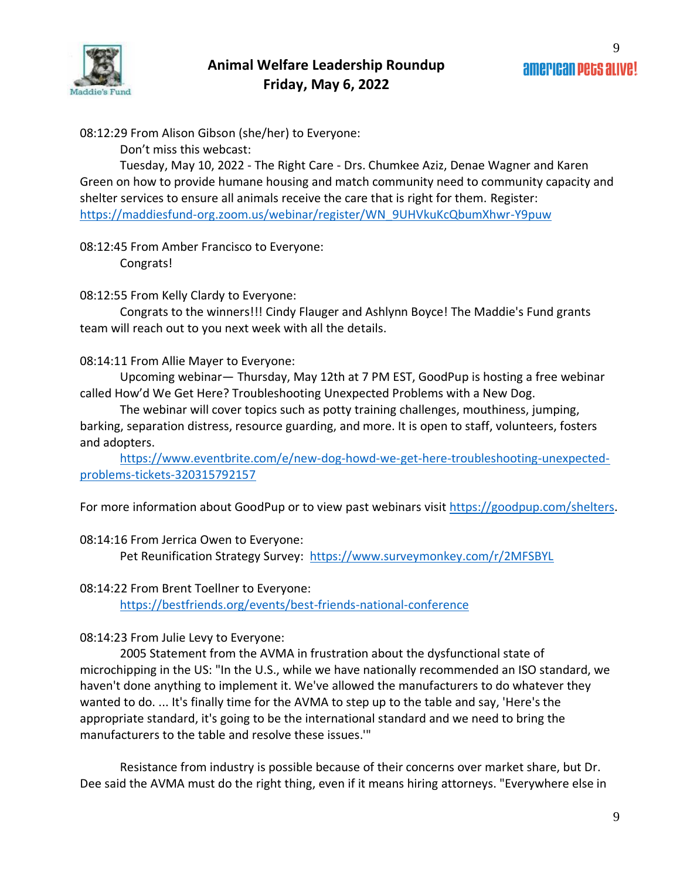

08:12:29 From Alison Gibson (she/her) to Everyone:

Don't miss this webcast:

Tuesday, May 10, 2022 - The Right Care - Drs. Chumkee Aziz, Denae Wagner and Karen Green on how to provide humane housing and match community need to community capacity and shelter services to ensure all animals receive the care that is right for them. Register: [https://maddiesfund-org.zoom.us/webinar/register/WN\\_9UHVkuKcQbumXhwr-Y9puw](https://maddiesfund-org.zoom.us/webinar/register/WN_9UHVkuKcQbumXhwr-Y9puw)

08:12:45 From Amber Francisco to Everyone: Congrats!

### 08:12:55 From Kelly Clardy to Everyone:

Congrats to the winners!!! Cindy Flauger and Ashlynn Boyce! The Maddie's Fund grants team will reach out to you next week with all the details.

### 08:14:11 From Allie Mayer to Everyone:

Upcoming webinar— Thursday, May 12th at 7 PM EST, GoodPup is hosting a free webinar called How'd We Get Here? Troubleshooting Unexpected Problems with a New Dog.

The webinar will cover topics such as potty training challenges, mouthiness, jumping, barking, separation distress, resource guarding, and more. It is open to staff, volunteers, fosters and adopters.

[https://www.eventbrite.com/e/new-dog-howd-we-get-here-troubleshooting-unexpected](https://www.eventbrite.com/e/new-dog-howd-we-get-here-troubleshooting-unexpected-problems-tickets-320315792157)[problems-tickets-320315792157](https://www.eventbrite.com/e/new-dog-howd-we-get-here-troubleshooting-unexpected-problems-tickets-320315792157)

For more information about GoodPup or to view past webinars visit [https://goodpup.com/shelters.](https://goodpup.com/shelters)

### 08:14:16 From Jerrica Owen to Everyone:

Pet Reunification Strategy Survey: <https://www.surveymonkey.com/r/2MFSBYL>

#### 08:14:22 From Brent Toellner to Everyone:

<https://bestfriends.org/events/best-friends-national-conference>

#### 08:14:23 From Julie Levy to Everyone:

2005 Statement from the AVMA in frustration about the dysfunctional state of microchipping in the US: "In the U.S., while we have nationally recommended an ISO standard, we haven't done anything to implement it. We've allowed the manufacturers to do whatever they wanted to do. ... It's finally time for the AVMA to step up to the table and say, 'Here's the appropriate standard, it's going to be the international standard and we need to bring the manufacturers to the table and resolve these issues.'"

Resistance from industry is possible because of their concerns over market share, but Dr. Dee said the AVMA must do the right thing, even if it means hiring attorneys. "Everywhere else in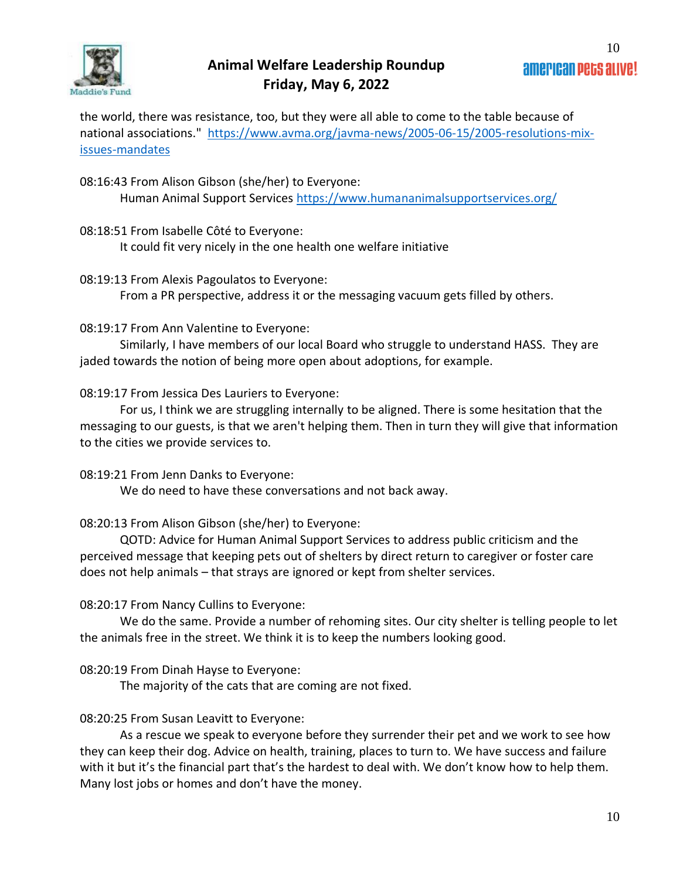

the world, there was resistance, too, but they were all able to come to the table because of national associations." [https://www.avma.org/javma-news/2005-06-15/2005-resolutions-mix](https://www.avma.org/javma-news/2005-06-15/2005-resolutions-mix-issues-mandates)[issues-mandates](https://www.avma.org/javma-news/2005-06-15/2005-resolutions-mix-issues-mandates)

08:16:43 From Alison Gibson (she/her) to Everyone: Human Animal Support Services<https://www.humananimalsupportservices.org/>

- 08:18:51 From Isabelle Côté to Everyone: It could fit very nicely in the one health one welfare initiative
- 08:19:13 From Alexis Pagoulatos to Everyone: From a PR perspective, address it or the messaging vacuum gets filled by others.

08:19:17 From Ann Valentine to Everyone:

Similarly, I have members of our local Board who struggle to understand HASS. They are jaded towards the notion of being more open about adoptions, for example.

08:19:17 From Jessica Des Lauriers to Everyone:

For us, I think we are struggling internally to be aligned. There is some hesitation that the messaging to our guests, is that we aren't helping them. Then in turn they will give that information to the cities we provide services to.

08:19:21 From Jenn Danks to Everyone:

We do need to have these conversations and not back away.

08:20:13 From Alison Gibson (she/her) to Everyone:

QOTD: Advice for Human Animal Support Services to address public criticism and the perceived message that keeping pets out of shelters by direct return to caregiver or foster care does not help animals – that strays are ignored or kept from shelter services.

## 08:20:17 From Nancy Cullins to Everyone:

We do the same. Provide a number of rehoming sites. Our city shelter is telling people to let the animals free in the street. We think it is to keep the numbers looking good.

08:20:19 From Dinah Hayse to Everyone:

The majority of the cats that are coming are not fixed.

## 08:20:25 From Susan Leavitt to Everyone:

As a rescue we speak to everyone before they surrender their pet and we work to see how they can keep their dog. Advice on health, training, places to turn to. We have success and failure with it but it's the financial part that's the hardest to deal with. We don't know how to help them. Many lost jobs or homes and don't have the money.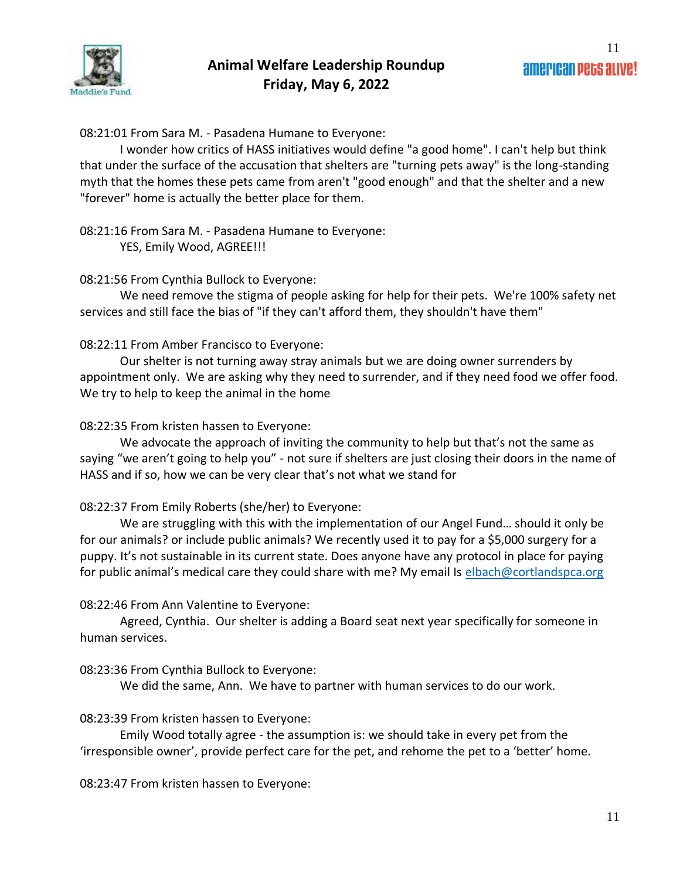08:21:01 From Sara M. - Pasadena Humane to Everyone:

I wonder how critics of HASS initiatives would define "a good home". I can't help but think that under the surface of the accusation that shelters are "turning pets away" is the long-standing myth that the homes these pets came from aren't "good enough" and that the shelter and a new "forever" home is actually the better place for them.

08:21:16 From Sara M. - Pasadena Humane to Everyone: YES, Emily Wood, AGREE!!!

#### 08:21:56 From Cynthia Bullock to Everyone:

We need remove the stigma of people asking for help for their pets. We're 100% safety net services and still face the bias of "if they can't afford them, they shouldn't have them"

#### 08:22:11 From Amber Francisco to Everyone:

Our shelter is not turning away stray animals but we are doing owner surrenders by appointment only. We are asking why they need to surrender, and if they need food we offer food. We try to help to keep the animal in the home

#### 08:22:35 From kristen hassen to Everyone:

We advocate the approach of inviting the community to help but that's not the same as saying "we aren't going to help you" - not sure if shelters are just closing their doors in the name of HASS and if so, how we can be very clear that's not what we stand for

### 08:22:37 From Emily Roberts (she/her) to Everyone:

We are struggling with this with the implementation of our Angel Fund… should it only be for our animals? or include public animals? We recently used it to pay for a \$5,000 surgery for a puppy. It's not sustainable in its current state. Does anyone have any protocol in place for paying for public animal's medical care they could share with me? My email Is [elbach@cortlandspca.org](mailto:elbach@cortlandspca.org)

### 08:22:46 From Ann Valentine to Everyone:

Agreed, Cynthia. Our shelter is adding a Board seat next year specifically for someone in human services.

### 08:23:36 From Cynthia Bullock to Everyone:

We did the same, Ann. We have to partner with human services to do our work.

### 08:23:39 From kristen hassen to Everyone:

Emily Wood totally agree - the assumption is: we should take in every pet from the 'irresponsible owner', provide perfect care for the pet, and rehome the pet to a 'better' home.

08:23:47 From kristen hassen to Everyone: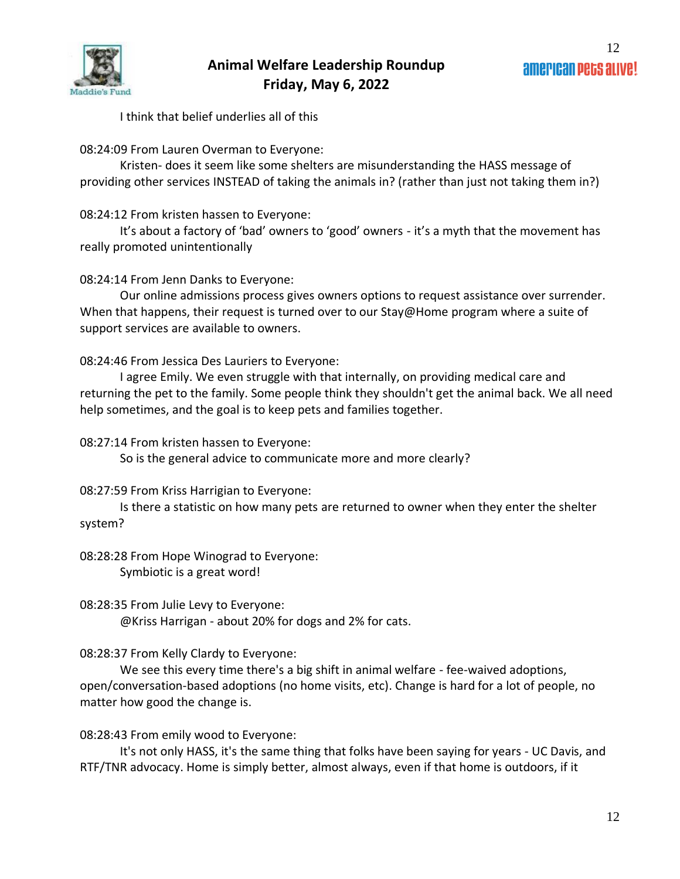

I think that belief underlies all of this

08:24:09 From Lauren Overman to Everyone:

Kristen- does it seem like some shelters are misunderstanding the HASS message of providing other services INSTEAD of taking the animals in? (rather than just not taking them in?)

08:24:12 From kristen hassen to Everyone:

It's about a factory of 'bad' owners to 'good' owners - it's a myth that the movement has really promoted unintentionally

08:24:14 From Jenn Danks to Everyone:

Our online admissions process gives owners options to request assistance over surrender. When that happens, their request is turned over to our Stay@Home program where a suite of support services are available to owners.

08:24:46 From Jessica Des Lauriers to Everyone:

I agree Emily. We even struggle with that internally, on providing medical care and returning the pet to the family. Some people think they shouldn't get the animal back. We all need help sometimes, and the goal is to keep pets and families together.

08:27:14 From kristen hassen to Everyone:

So is the general advice to communicate more and more clearly?

08:27:59 From Kriss Harrigian to Everyone:

Is there a statistic on how many pets are returned to owner when they enter the shelter system?

08:28:28 From Hope Winograd to Everyone: Symbiotic is a great word!

08:28:35 From Julie Levy to Everyone: @Kriss Harrigan - about 20% for dogs and 2% for cats.

08:28:37 From Kelly Clardy to Everyone:

We see this every time there's a big shift in animal welfare - fee-waived adoptions, open/conversation-based adoptions (no home visits, etc). Change is hard for a lot of people, no matter how good the change is.

08:28:43 From emily wood to Everyone:

It's not only HASS, it's the same thing that folks have been saying for years - UC Davis, and RTF/TNR advocacy. Home is simply better, almost always, even if that home is outdoors, if it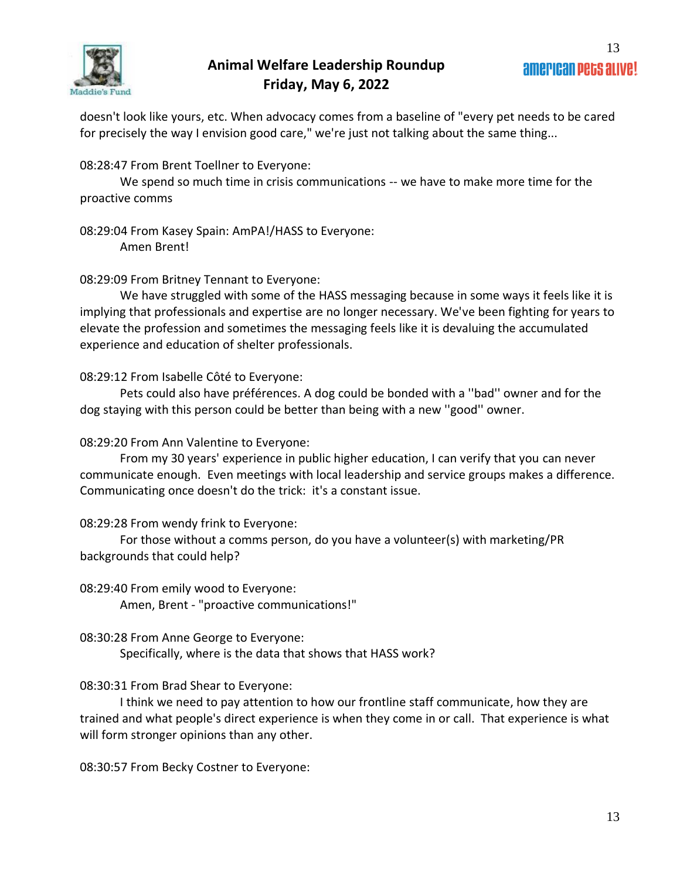

doesn't look like yours, etc. When advocacy comes from a baseline of "every pet needs to be cared for precisely the way I envision good care," we're just not talking about the same thing...

#### 08:28:47 From Brent Toellner to Everyone:

We spend so much time in crisis communications -- we have to make more time for the proactive comms

08:29:04 From Kasey Spain: AmPA!/HASS to Everyone: Amen Brent!

08:29:09 From Britney Tennant to Everyone:

We have struggled with some of the HASS messaging because in some ways it feels like it is implying that professionals and expertise are no longer necessary. We've been fighting for years to elevate the profession and sometimes the messaging feels like it is devaluing the accumulated experience and education of shelter professionals.

08:29:12 From Isabelle Côté to Everyone:

Pets could also have préférences. A dog could be bonded with a ''bad'' owner and for the dog staying with this person could be better than being with a new ''good'' owner.

08:29:20 From Ann Valentine to Everyone:

From my 30 years' experience in public higher education, I can verify that you can never communicate enough. Even meetings with local leadership and service groups makes a difference. Communicating once doesn't do the trick: it's a constant issue.

08:29:28 From wendy frink to Everyone:

For those without a comms person, do you have a volunteer(s) with marketing/PR backgrounds that could help?

08:29:40 From emily wood to Everyone: Amen, Brent - "proactive communications!"

08:30:28 From Anne George to Everyone: Specifically, where is the data that shows that HASS work?

### 08:30:31 From Brad Shear to Everyone:

I think we need to pay attention to how our frontline staff communicate, how they are trained and what people's direct experience is when they come in or call. That experience is what will form stronger opinions than any other.

08:30:57 From Becky Costner to Everyone: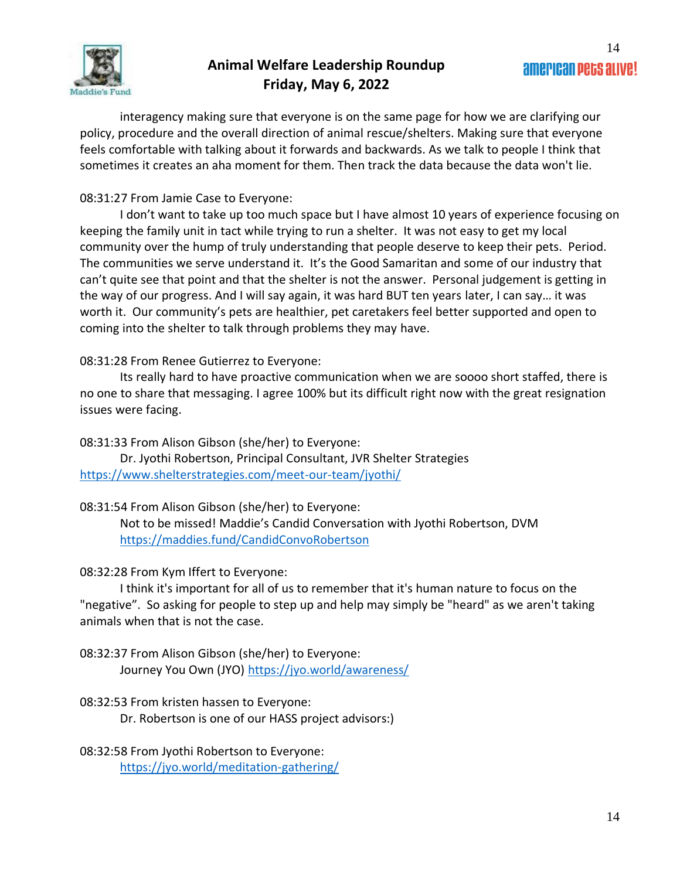

interagency making sure that everyone is on the same page for how we are clarifying our policy, procedure and the overall direction of animal rescue/shelters. Making sure that everyone feels comfortable with talking about it forwards and backwards. As we talk to people I think that sometimes it creates an aha moment for them. Then track the data because the data won't lie.

### 08:31:27 From Jamie Case to Everyone:

I don't want to take up too much space but I have almost 10 years of experience focusing on keeping the family unit in tact while trying to run a shelter. It was not easy to get my local community over the hump of truly understanding that people deserve to keep their pets. Period. The communities we serve understand it. It's the Good Samaritan and some of our industry that can't quite see that point and that the shelter is not the answer. Personal judgement is getting in the way of our progress. And I will say again, it was hard BUT ten years later, I can say… it was worth it. Our community's pets are healthier, pet caretakers feel better supported and open to coming into the shelter to talk through problems they may have.

### 08:31:28 From Renee Gutierrez to Everyone:

Its really hard to have proactive communication when we are soooo short staffed, there is no one to share that messaging. I agree 100% but its difficult right now with the great resignation issues were facing.

08:31:33 From Alison Gibson (she/her) to Everyone:

Dr. Jyothi Robertson, Principal Consultant, JVR Shelter Strategies <https://www.shelterstrategies.com/meet-our-team/jyothi/>

### 08:31:54 From Alison Gibson (she/her) to Everyone:

Not to be missed! Maddie's Candid Conversation with Jyothi Robertson, DVM <https://maddies.fund/CandidConvoRobertson>

## 08:32:28 From Kym Iffert to Everyone:

I think it's important for all of us to remember that it's human nature to focus on the "negative". So asking for people to step up and help may simply be "heard" as we aren't taking animals when that is not the case.

08:32:37 From Alison Gibson (she/her) to Everyone: Journey You Own (JYO)<https://jyo.world/awareness/>

## 08:32:53 From kristen hassen to Everyone: Dr. Robertson is one of our HASS project advisors:)

08:32:58 From Jyothi Robertson to Everyone: <https://jyo.world/meditation-gathering/>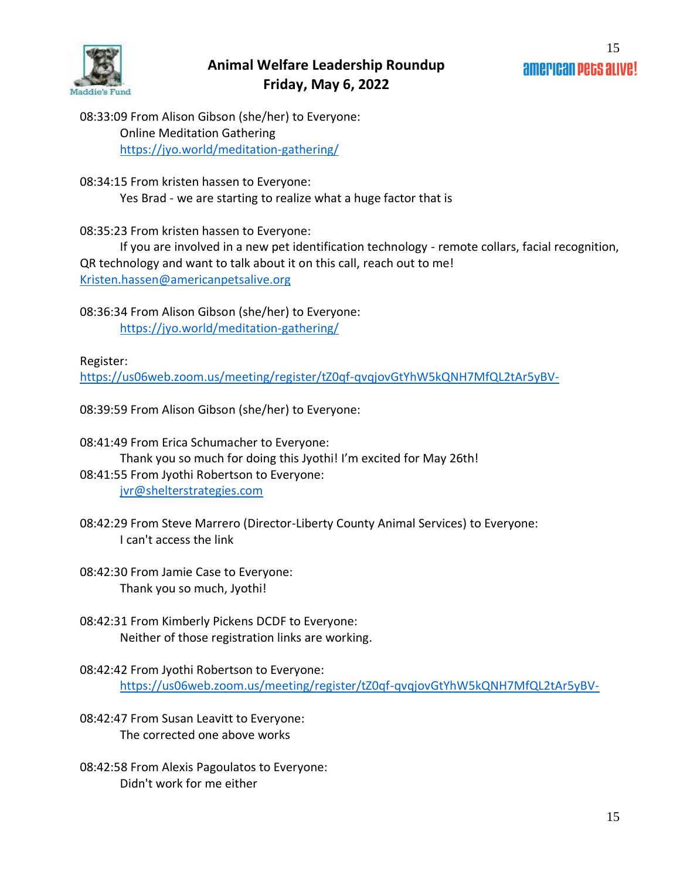

08:33:09 From Alison Gibson (she/her) to Everyone: Online Meditation Gathering <https://jyo.world/meditation-gathering/>

08:34:15 From kristen hassen to Everyone: Yes Brad - we are starting to realize what a huge factor that is

08:35:23 From kristen hassen to Everyone:

If you are involved in a new pet identification technology - remote collars, facial recognition, QR technology and want to talk about it on this call, reach out to me! [Kristen.hassen@americanpetsalive.org](mailto:Kristen.hassen@americanpetsalive.org)

08:36:34 From Alison Gibson (she/her) to Everyone: <https://jyo.world/meditation-gathering/>

Register:

<https://us06web.zoom.us/meeting/register/tZ0qf-qvqjovGtYhW5kQNH7MfQL2tAr5yBV->

08:39:59 From Alison Gibson (she/her) to Everyone:

- 08:41:49 From Erica Schumacher to Everyone: Thank you so much for doing this Jyothi! I'm excited for May 26th! 08:41:55 From Jyothi Robertson to Everyone: [jvr@shelterstrategies.com](mailto:jvr@shelterstrategies.com)
- 08:42:29 From Steve Marrero (Director-Liberty County Animal Services) to Everyone: I can't access the link
- 08:42:30 From Jamie Case to Everyone: Thank you so much, Jyothi!
- 08:42:31 From Kimberly Pickens DCDF to Everyone: Neither of those registration links are working.

- 08:42:47 From Susan Leavitt to Everyone: The corrected one above works
- 08:42:58 From Alexis Pagoulatos to Everyone: Didn't work for me either

<sup>08:42:42</sup> From Jyothi Robertson to Everyone: <https://us06web.zoom.us/meeting/register/tZ0qf-qvqjovGtYhW5kQNH7MfQL2tAr5yBV->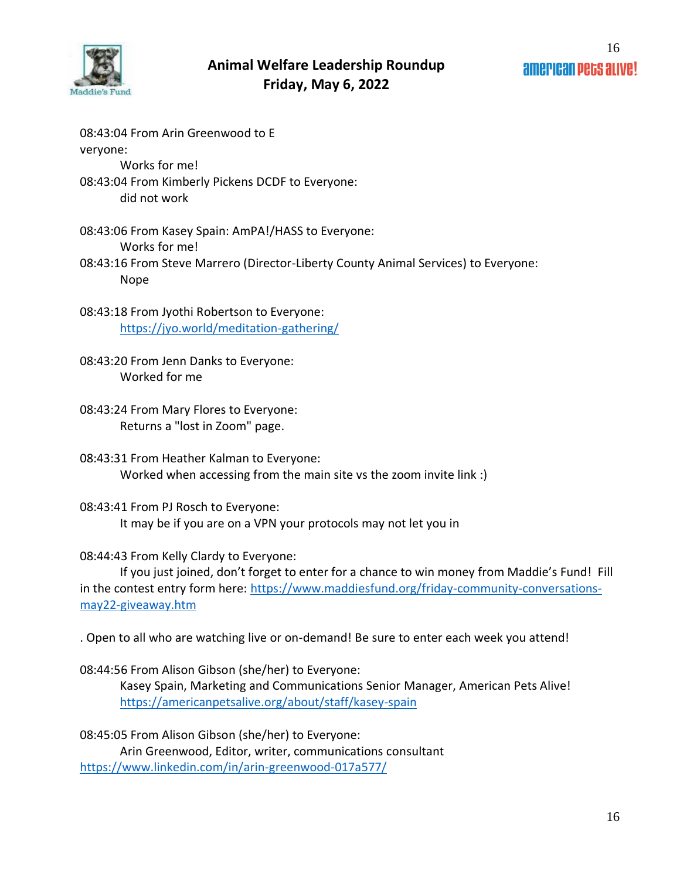

08:43:04 From Arin Greenwood to E veryone: Works for me! 08:43:04 From Kimberly Pickens DCDF to Everyone: did not work

08:43:06 From Kasey Spain: AmPA!/HASS to Everyone: Works for me! 08:43:16 From Steve Marrero (Director-Liberty County Animal Services) to Everyone:

Nope

08:43:18 From Jyothi Robertson to Everyone: <https://jyo.world/meditation-gathering/>

08:43:20 From Jenn Danks to Everyone: Worked for me

08:43:24 From Mary Flores to Everyone: Returns a "lost in Zoom" page.

08:43:31 From Heather Kalman to Everyone: Worked when accessing from the main site vs the zoom invite link :)

08:43:41 From PJ Rosch to Everyone: It may be if you are on a VPN your protocols may not let you in

08:44:43 From Kelly Clardy to Everyone:

If you just joined, don't forget to enter for a chance to win money from Maddie's Fund! Fill in the contest entry form here: [https://www.maddiesfund.org/friday-community-conversations](https://www.maddiesfund.org/friday-community-conversations-may22-giveaway.htm)[may22-giveaway.htm](https://www.maddiesfund.org/friday-community-conversations-may22-giveaway.htm)

. Open to all who are watching live or on-demand! Be sure to enter each week you attend!

08:44:56 From Alison Gibson (she/her) to Everyone:

Kasey Spain, Marketing and Communications Senior Manager, American Pets Alive! <https://americanpetsalive.org/about/staff/kasey-spain>

08:45:05 From Alison Gibson (she/her) to Everyone: Arin Greenwood, Editor, writer, communications consultant <https://www.linkedin.com/in/arin-greenwood-017a577/>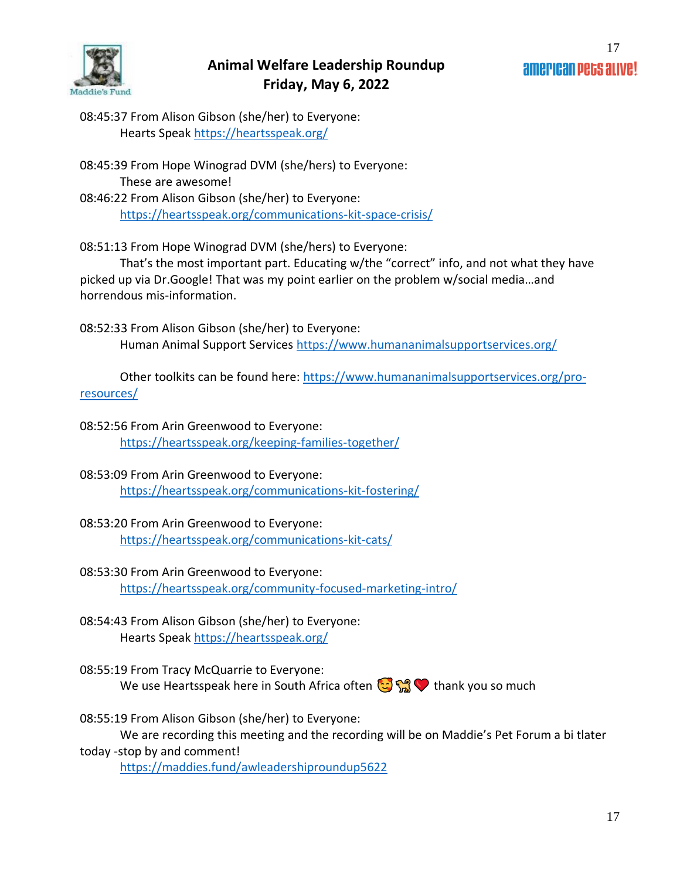

08:45:37 From Alison Gibson (she/her) to Everyone: Hearts Speak<https://heartsspeak.org/>

08:45:39 From Hope Winograd DVM (she/hers) to Everyone: These are awesome! 08:46:22 From Alison Gibson (she/her) to Everyone: <https://heartsspeak.org/communications-kit-space-crisis/>

08:51:13 From Hope Winograd DVM (she/hers) to Everyone:

That's the most important part. Educating w/the "correct" info, and not what they have picked up via Dr.Google! That was my point earlier on the problem w/social media…and horrendous mis-information.

08:52:33 From Alison Gibson (she/her) to Everyone: Human Animal Support Services<https://www.humananimalsupportservices.org/>

Other toolkits can be found here: [https://www.humananimalsupportservices.org/pro](https://www.humananimalsupportservices.org/pro-resources/)[resources/](https://www.humananimalsupportservices.org/pro-resources/)

08:52:56 From Arin Greenwood to Everyone: <https://heartsspeak.org/keeping-families-together/>

- 08:53:09 From Arin Greenwood to Everyone: <https://heartsspeak.org/communications-kit-fostering/>
- 08:53:20 From Arin Greenwood to Everyone: <https://heartsspeak.org/communications-kit-cats/>
- 08:53:30 From Arin Greenwood to Everyone: <https://heartsspeak.org/community-focused-marketing-intro/>
- 08:54:43 From Alison Gibson (she/her) to Everyone: Hearts Speak<https://heartsspeak.org/>
- 08:55:19 From Tracy McQuarrie to Everyone: We use Heartsspeak here in South Africa often  $\mathbb{C}\mathbb{C}$   $\mathbb{C}$  thank you so much

08:55:19 From Alison Gibson (she/her) to Everyone: We are recording this meeting and the recording will be on Maddie's Pet Forum a bi tlater today -stop by and comment!

<https://maddies.fund/awleadershiproundup5622>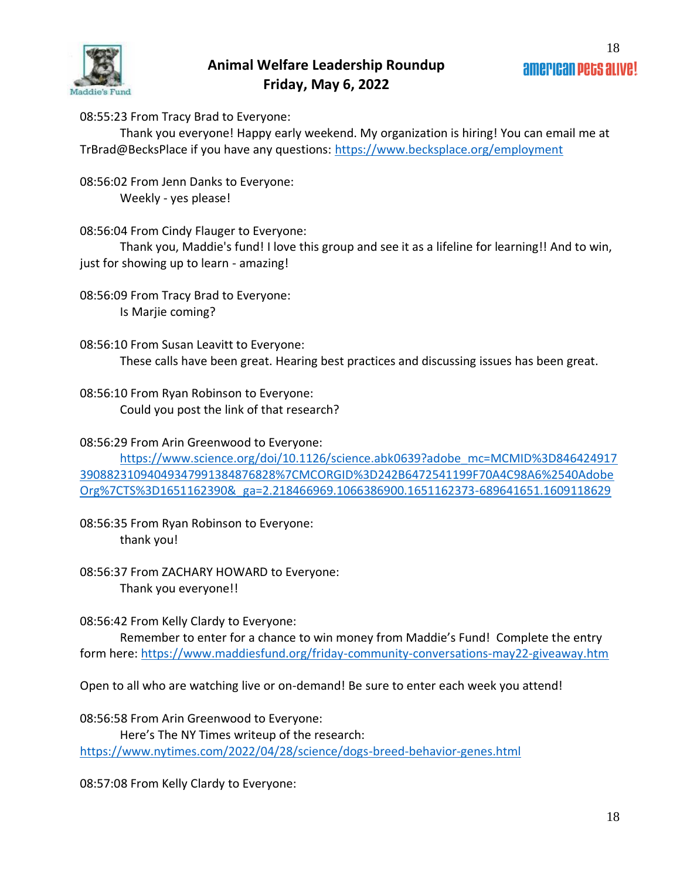

08:55:23 From Tracy Brad to Everyone:

Thank you everyone! Happy early weekend. My organization is hiring! You can email me at TrBrad@BecksPlace if you have any questions:<https://www.becksplace.org/employment>

08:56:02 From Jenn Danks to Everyone: Weekly - yes please!

08:56:04 From Cindy Flauger to Everyone:

Thank you, Maddie's fund! I love this group and see it as a lifeline for learning!! And to win, just for showing up to learn - amazing!

08:56:09 From Tracy Brad to Everyone: Is Marjie coming?

08:56:10 From Susan Leavitt to Everyone: These calls have been great. Hearing best practices and discussing issues has been great.

08:56:10 From Ryan Robinson to Everyone: Could you post the link of that research?

08:56:29 From Arin Greenwood to Everyone:

[https://www.science.org/doi/10.1126/science.abk0639?adobe\\_mc=MCMID%3D846424917](https://www.science.org/doi/10.1126/science.abk0639?adobe_mc=MCMID%3D84642491739088231094049347991384876828%7CMCORGID%3D242B6472541199F70A4C98A6%2540AdobeOrg%7CTS%3D1651162390&_ga=2.218466969.1066386900.1651162373-689641651.1609118629) [39088231094049347991384876828%7CMCORGID%3D242B6472541199F70A4C98A6%2540Adobe](https://www.science.org/doi/10.1126/science.abk0639?adobe_mc=MCMID%3D84642491739088231094049347991384876828%7CMCORGID%3D242B6472541199F70A4C98A6%2540AdobeOrg%7CTS%3D1651162390&_ga=2.218466969.1066386900.1651162373-689641651.1609118629) [Org%7CTS%3D1651162390&\\_ga=2.218466969.1066386900.1651162373-689641651.1609118629](https://www.science.org/doi/10.1126/science.abk0639?adobe_mc=MCMID%3D84642491739088231094049347991384876828%7CMCORGID%3D242B6472541199F70A4C98A6%2540AdobeOrg%7CTS%3D1651162390&_ga=2.218466969.1066386900.1651162373-689641651.1609118629)

08:56:35 From Ryan Robinson to Everyone: thank you!

08:56:37 From ZACHARY HOWARD to Everyone: Thank you everyone!!

08:56:42 From Kelly Clardy to Everyone:

Remember to enter for a chance to win money from Maddie's Fund! Complete the entry form here:<https://www.maddiesfund.org/friday-community-conversations-may22-giveaway.htm>

Open to all who are watching live or on-demand! Be sure to enter each week you attend!

08:56:58 From Arin Greenwood to Everyone: Here's The NY Times writeup of the research: <https://www.nytimes.com/2022/04/28/science/dogs-breed-behavior-genes.html>

08:57:08 From Kelly Clardy to Everyone: